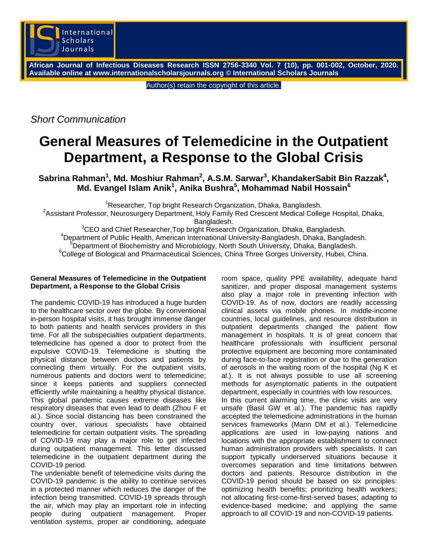

**African Journal of Infectious Diseases Research ISSN 2756-3340 Vol. 7 (10), pp. 001-002, October, 2020. Available online at www.internationalscholarsjournals.org © International Scholars Journals**

Author(s) retain the copyright of this article.

*Short Communication*

## **General Measures of Telemedicine in the Outpatient Department, a Response to the Global Crisis**

 $\mathbf{S}$ abrina Rahman<sup>1</sup>, Md. Moshiur Rahman<sup>2</sup>, A.S.M. Sarwar<sup>3</sup>, KhandakerSabit Bin Razzak<sup>4</sup>, **Md. Evangel Islam Anik<sup>1</sup> , Anika Bushra<sup>5</sup> , Mohammad Nabil Hossain<sup>6</sup>**

<sup>1</sup>Researcher, Top bright Research Organization, Dhaka, Bangladesh.

<sup>2</sup> Assistant Professor, Neurosurgery Department, Holy Family Red Crescent Medical College Hospital, Dhaka,

Bangladesh.

<sup>3</sup>CEO and Chief Researcher, Top bright Research Organization, Dhaka, Bangladesh. <sup>4</sup>Department of Public Health, American International University-Bangladesh, Dhaka, Bangladesh.  $\overline{P}$ Department of Biochemistry and Microbiology, North South University, Dhaka, Bangladesh.  $6$ College of Biological and Pharmaceutical Sciences, China Three Gorges University, Hubei, China.

## **General Measures of Telemedicine in the Outpatient Department, a Response to the Global Crisis**

The pandemic COVID-19 has introduced a huge burden to the healthcare sector over the globe. By conventional in-person hospital visits, it has brought immense danger to both patients and health services providers in this time. For all the subspecialties outpatient departments, telemedicine has opened a door to protect from the expulsive COVID-19. Telemedicine is shutting the physical distance between doctors and patients by connecting them virtually. For the outpatient visits, numerous patients and doctors went to telemedicine; since it keeps patients and suppliers connected efficiently while maintaining a healthy physical distance. This global pandemic causes extreme diseases like respiratory diseases that even lead to death (Zhou F et al.). Since social distancing has been constrained the country over, various specialists have obtained telemedicine for certain outpatient visits. The spreading of COVID-19 may play a major role to get infected during outpatient management. This letter discussed telemedicine in the outpatient department during the COVID-19 period.

The undeniable benefit of telemedicine visits during the COVID-19 pandemic is the ability to continue services in a protected manner which reduces the danger of the infection being transmitted. COVID-19 spreads through the air, which may play an important role in infecting people during outpatient management. Proper ventilation systems, proper air conditioning, adequate

room space, quality PPE availability, adequate hand sanitizer, and proper disposal management systems also play a major role in preventing infection with COVID-19. As of now, doctors are readily accessing clinical assets via mobile phones. In middle-income countries, local guidelines, and resource distribution in outpatient departments changed the patient flow management in hospitals. It is of great concern that healthcare professionals with insufficient personal protective equipment are becoming more contaminated during face-to-face registration or due to the generation of aerosols in the waiting room of the hospital (Ng K et al.). It is not always possible to use all screening methods for asymptomatic patients in the outpatient department, especially in countries with low resources. In this current alarming time, the clinic visits are very unsafe (Basil GW et al.). The pandemic has rapidly accepted the telemedicine administrations in the human services frameworks (Mann DM et al.). Telemedicine applications are used in low-paying nations and locations with the appropriate establishment to connect human administration providers with specialists. It can support typically underserved situations because it overcomes separation and time limitations between doctors and patients. Resource distribution in the COVID-19 period should be based on six principles: optimizing health benefits; prioritizing health workers; not allocating first-come-first-served bases; adapting to evidence-based medicine; and applying the same approach to all COVID-19 and non-COVID-19 patients.